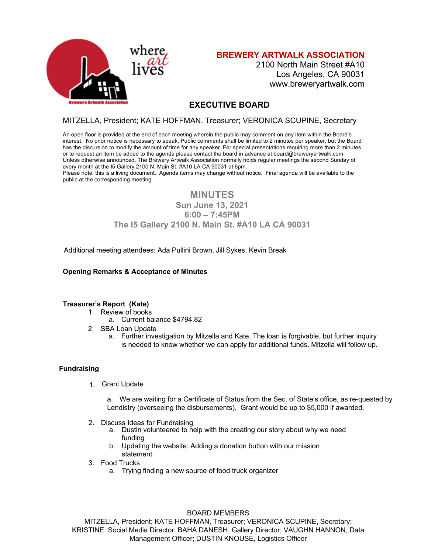

**BREWERY ARTWALK ASSOCIATION**

2100 North Main Street #A10 Los Angeles, CA 90031 www.breweryartwalk.com

# **EXECUTIVE BOARD**

# MITZELLA, President; KATE HOFFMAN, Treasurer; VERONICA SCUPINE, Secretary

An open floor is provided at the end of each meeting wherein the public may comment on any item within the Board's interest. No prior notice is necessary to speak. Public comments shall be limited to 2 minutes per speaker, but the Board has the discursion to modify the amount of time for any speaker. For special presentations requiring more than 2 minutes or to request an item be added to the agenda please contact the board in advance at board@breweryartwalk.com. Unless otherwise announced, The Brewery Artwalk Association normally holds regular meetings the second Sunday of every month at the I5 Gallery 2100 N. Main St. #A10 LA CA 90031 at 6pm.

Please note, this is a living document. Agenda items may change without notice. Final agenda will be available to the public at the corresponding meeting.

# **MINUTES**

## **Sun June 13, 2021 6:00 – 7:45PM The I5 Gallery 2100 N. Main St. #A10 LA CA 90031**

Additional meeting attendees: Ada Pullini Brown, Jill Sykes, Kevin Break

## **Opening Remarks & Acceptance of Minutes**

## **Treasurer's Report (Kate)**

- 1. Review of books
	- a. Current balance \$4794.82
- 2. SBA Loan Update
	- a. Further investigation by Mitzella and Kate. The loan is forgivable, but further inquiry is needed to know whether we can apply for additional funds. Mitzella will follow up.

## **Fundraising**

1. Grant Update

a. We are waiting for a Certificate of Status from the Sec. of State's office, as re-quested by Lendistry (overseeing the disbursements). Grant would be up to \$5,000 if awarded.

- 2. Discuss Ideas for Fundraising
	- a. Dustin volunteered to help with the creating our story about why we need funding
	- b. Updating the website: Adding a donation button with our mission statement
- 3. Food Trucks
	- a. Trying finding a new source of food truck organizer

#### BOARD MEMBERS

MITZELLA, President; KATE HOFFMAN, Treasurer; VERONICA SCUPINE, Secretary; KRISTINE Social Media Director; BAHA DANESH, Gallery Director; VAUGHN HANNON, Data Management Officer; DUSTIN KNOUSE, Logistics Officer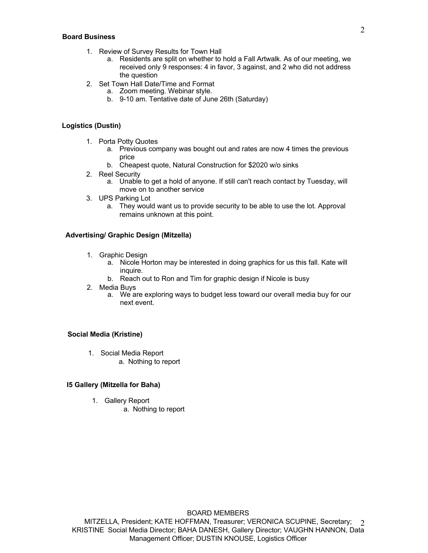#### **Board Business**

- 1. Review of Survey Results for Town Hall
	- a. Residents are split on whether to hold a Fall Artwalk. As of our meeting, we received only 9 responses: 4 in favor, 3 against, and 2 who did not address the question
- 2. Set Town Hall Date/Time and Format
	- a. Zoom meeting. Webinar style.
	- b. 9-10 am. Tentative date of June 26th (Saturday)

#### **Logistics (Dustin)**

- 1. Porta Potty Quotes
	- a. Previous company was bought out and rates are now 4 times the previous price
	- b. Cheapest quote, Natural Construction for \$2020 w/o sinks
- 2. Reel Security
	- a. Unable to get a hold of anyone. If still can't reach contact by Tuesday, will move on to another service
- 3. UPS Parking Lot
	- a. They would want us to provide security to be able to use the lot. Approval remains unknown at this point.

## **Advertising/ Graphic Design (Mitzella)**

- 1. Graphic Design
	- a. Nicole Horton may be interested in doing graphics for us this fall. Kate will inquire.
	- b. Reach out to Ron and Tim for graphic design if Nicole is busy
- 2. Media Buys
	- a. We are exploring ways to budget less toward our overall media buy for our next event.

## **Social Media (Kristine)**

- 1. Social Media Report
	- a. Nothing to report

#### **I5 Gallery (Mitzella for Baha)**

- 1. Gallery Report
	- a. Nothing to report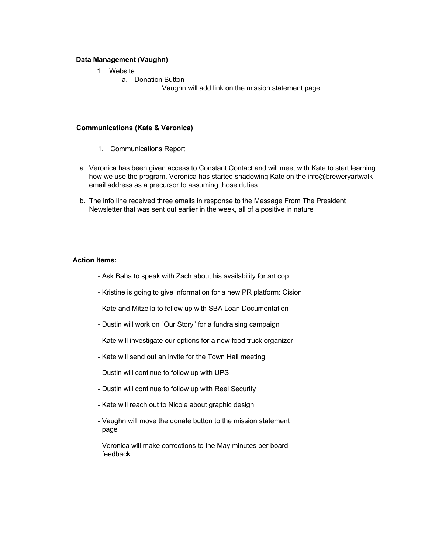#### **Data Management (Vaughn)**

- 1. Website
	- a. Donation Button
		- i. Vaughn will add link on the mission statement page

#### **Communications (Kate & Veronica)**

- 1. Communications Report
- a. Veronica has been given access to Constant Contact and will meet with Kate to start learning how we use the program. Veronica has started shadowing Kate on the info@breweryartwalk email address as a precursor to assuming those duties
- b. The info line received three emails in response to the Message From The President Newsletter that was sent out earlier in the week, all of a positive in nature

#### **Action Items:**

- Ask Baha to speak with Zach about his availability for art cop
- Kristine is going to give information for a new PR platform: Cision
- Kate and Mitzella to follow up with SBA Loan Documentation
- Dustin will work on "Our Story" for a fundraising campaign
- Kate will investigate our options for a new food truck organizer
- Kate will send out an invite for the Town Hall meeting
- Dustin will continue to follow up with UPS
- Dustin will continue to follow up with Reel Security
- Kate will reach out to Nicole about graphic design
- Vaughn will move the donate button to the mission statement page
- Veronica will make corrections to the May minutes per board feedback